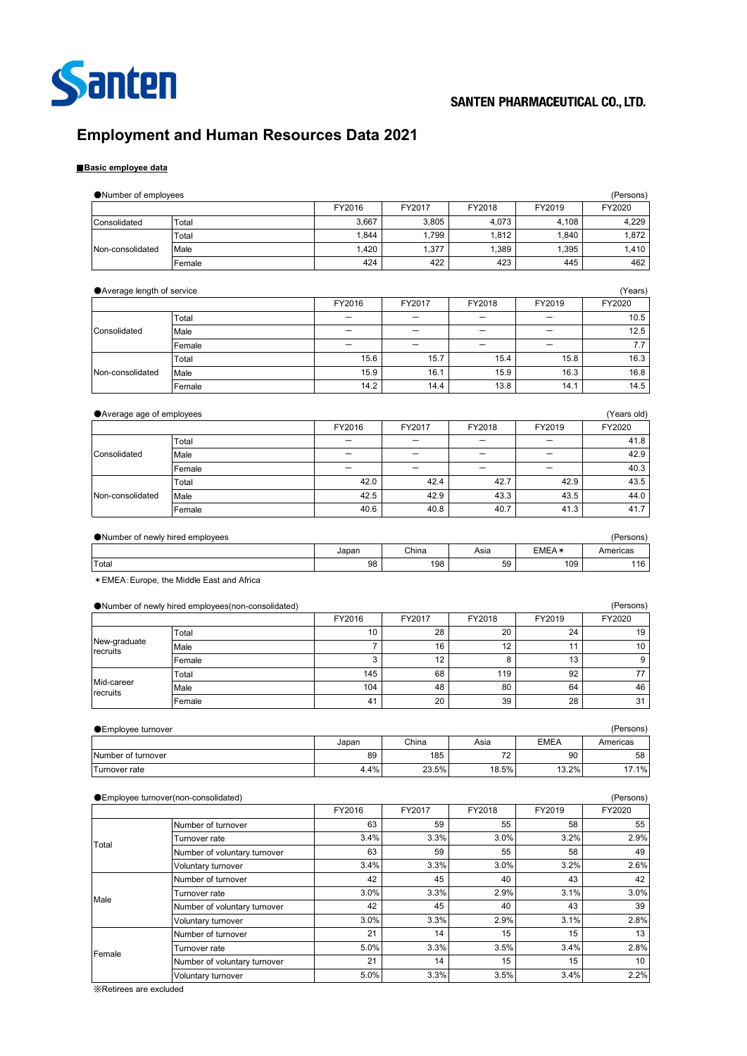

# **Employment and Human Resources Data 2021**

## ■**Basic employee data**

| FY2016<br>FY2019<br>FY2020<br>FY2017<br>FY2018<br>3,667<br>3,805<br>4,073<br>4,108<br>4,229<br>Total<br>Consolidated<br>1,844<br>1,799<br>1,812<br>1,840<br>1,872<br>Total<br>1,420<br>1,377<br>1,389<br>1,395<br>Non-consolidated<br>1,410<br>Male<br>423<br>424<br>422<br>445<br>462<br>Female<br>● Average length of service<br>(Years)<br>FY2020<br>FY2016<br>FY2018<br>FY2019<br>FY2017<br>Total<br>10.5<br>12.5<br>Consolidated<br>Male<br>7.7<br>$\overline{\phantom{0}}$<br>$\overline{\phantom{0}}$<br>Female<br>—<br>15.6<br>15.7<br>15.4<br>15.8<br>16.3<br>Total<br>15.9<br>16.1<br>15.9<br>16.3<br>16.8<br>Non-consolidated<br>Male<br>14.2<br>14.4<br>13.8<br>14.1<br>14.5<br>Female<br>● Average age of employees<br>(Years old)<br>FY2016<br>FY2017<br>FY2018<br>FY2019<br>FY2020<br>41.8<br>Total<br>-<br>$\overline{\phantom{0}}$<br>42.9<br>Consolidated<br>—<br>—<br>$\qquad \qquad -$<br>Male<br>—<br>40.3<br>Female<br>-<br>—<br>42.0<br>42.4<br>42.7<br>42.9<br>43.5<br>Total<br>43.5<br>42.5<br>42.9<br>43.3<br>44.0<br>Non-consolidated<br>Male<br>41.7<br>40.6<br>40.8<br>40.7<br>41.3<br>Female<br>(Persons)<br>● Number of newly hired employees<br>EMEA*<br>China<br>Asia<br>Americas<br>Japan<br>98<br>198<br>59<br>109<br>116<br>Total<br>* EMEA: Europe, the Middle East and Africa<br>Number of newly hired employees(non-consolidated)<br>(Persons)<br>FY2016<br>FY2017<br>FY2018<br>FY2019<br>FY2020<br>10<br>28<br>20<br>24<br>19<br>Total<br>New-graduate<br>$\overline{7}$<br>16<br>12<br>11<br>10<br>Male<br>recruits<br>3<br>12<br>8<br>13<br>9<br>Female<br>145<br>68<br>119<br>92<br>77<br>Total<br>Mid-career<br>104<br>48<br>80<br>64<br>46<br>Male<br>recruits<br>28<br>41<br>20<br>39<br>31<br>Female<br>● Employee turnover<br>(Persons)<br><b>EMEA</b><br>China<br>Japan<br>Asia<br>Americas<br>Number of turnover<br>89<br>185<br>72<br>90<br>58<br>Turnover rate<br>4.4%<br>23.5%<br>18.5%<br>13.2%<br>17.1%<br>● Employee turnover(non-consolidated)<br>(Persons)<br>FY2016<br>FY2017<br>FY2018<br>FY2019<br>FY2020<br>Number of turnover<br>63<br>59<br>55<br>58<br>55<br>3.4%<br>3.2%<br>3.3%<br>3.0%<br>2.9%<br>Turnover rate<br>Total<br>55<br>63<br>59<br>58<br>49<br>Number of voluntary turnover<br>3.4%<br>3.0%<br>2.6%<br>3.3%<br>3.2%<br>Voluntary turnover<br>42<br>45<br>40<br>43<br>42<br>Number of turnover<br>3.0%<br>3.3%<br>2.9%<br>3.1%<br>3.0%<br>Turnover rate<br>Male<br>45<br>42<br>40<br>43<br>39<br>Number of voluntary turnover<br>3.0%<br>2.9%<br>3.1%<br>3.3%<br>2.8%<br>Voluntary turnover<br>21<br>14<br>15<br>15<br>13<br>Number of turnover<br>5.0%<br>3.3%<br>3.5%<br>3.4%<br>2.8%<br>Turnover rate<br>Female<br>15<br>21<br>14<br>15<br>10<br>Number of voluntary turnover<br>5.0%<br>3.3%<br>3.5%<br>3.4%<br>2.2%<br>Voluntary turnover | ●Number of employees |  |  | (Persons) |
|------------------------------------------------------------------------------------------------------------------------------------------------------------------------------------------------------------------------------------------------------------------------------------------------------------------------------------------------------------------------------------------------------------------------------------------------------------------------------------------------------------------------------------------------------------------------------------------------------------------------------------------------------------------------------------------------------------------------------------------------------------------------------------------------------------------------------------------------------------------------------------------------------------------------------------------------------------------------------------------------------------------------------------------------------------------------------------------------------------------------------------------------------------------------------------------------------------------------------------------------------------------------------------------------------------------------------------------------------------------------------------------------------------------------------------------------------------------------------------------------------------------------------------------------------------------------------------------------------------------------------------------------------------------------------------------------------------------------------------------------------------------------------------------------------------------------------------------------------------------------------------------------------------------------------------------------------------------------------------------------------------------------------------------------------------------------------------------------------------------------------------------------------------------------------------------------------------------------------------------------------------------------------------------------------------------------------------------------------------------------------------------------------------------------------------------------------------------------------------------------------------------------------------------------------------------------------------------------------------------------------------------------------------------------------------------------------------------------------------------------------------------------------------------------------------------------------|----------------------|--|--|-----------|
|                                                                                                                                                                                                                                                                                                                                                                                                                                                                                                                                                                                                                                                                                                                                                                                                                                                                                                                                                                                                                                                                                                                                                                                                                                                                                                                                                                                                                                                                                                                                                                                                                                                                                                                                                                                                                                                                                                                                                                                                                                                                                                                                                                                                                                                                                                                                                                                                                                                                                                                                                                                                                                                                                                                                                                                                                              |                      |  |  |           |
|                                                                                                                                                                                                                                                                                                                                                                                                                                                                                                                                                                                                                                                                                                                                                                                                                                                                                                                                                                                                                                                                                                                                                                                                                                                                                                                                                                                                                                                                                                                                                                                                                                                                                                                                                                                                                                                                                                                                                                                                                                                                                                                                                                                                                                                                                                                                                                                                                                                                                                                                                                                                                                                                                                                                                                                                                              |                      |  |  |           |
|                                                                                                                                                                                                                                                                                                                                                                                                                                                                                                                                                                                                                                                                                                                                                                                                                                                                                                                                                                                                                                                                                                                                                                                                                                                                                                                                                                                                                                                                                                                                                                                                                                                                                                                                                                                                                                                                                                                                                                                                                                                                                                                                                                                                                                                                                                                                                                                                                                                                                                                                                                                                                                                                                                                                                                                                                              |                      |  |  |           |
|                                                                                                                                                                                                                                                                                                                                                                                                                                                                                                                                                                                                                                                                                                                                                                                                                                                                                                                                                                                                                                                                                                                                                                                                                                                                                                                                                                                                                                                                                                                                                                                                                                                                                                                                                                                                                                                                                                                                                                                                                                                                                                                                                                                                                                                                                                                                                                                                                                                                                                                                                                                                                                                                                                                                                                                                                              |                      |  |  |           |
|                                                                                                                                                                                                                                                                                                                                                                                                                                                                                                                                                                                                                                                                                                                                                                                                                                                                                                                                                                                                                                                                                                                                                                                                                                                                                                                                                                                                                                                                                                                                                                                                                                                                                                                                                                                                                                                                                                                                                                                                                                                                                                                                                                                                                                                                                                                                                                                                                                                                                                                                                                                                                                                                                                                                                                                                                              |                      |  |  |           |
|                                                                                                                                                                                                                                                                                                                                                                                                                                                                                                                                                                                                                                                                                                                                                                                                                                                                                                                                                                                                                                                                                                                                                                                                                                                                                                                                                                                                                                                                                                                                                                                                                                                                                                                                                                                                                                                                                                                                                                                                                                                                                                                                                                                                                                                                                                                                                                                                                                                                                                                                                                                                                                                                                                                                                                                                                              |                      |  |  |           |
|                                                                                                                                                                                                                                                                                                                                                                                                                                                                                                                                                                                                                                                                                                                                                                                                                                                                                                                                                                                                                                                                                                                                                                                                                                                                                                                                                                                                                                                                                                                                                                                                                                                                                                                                                                                                                                                                                                                                                                                                                                                                                                                                                                                                                                                                                                                                                                                                                                                                                                                                                                                                                                                                                                                                                                                                                              |                      |  |  |           |
|                                                                                                                                                                                                                                                                                                                                                                                                                                                                                                                                                                                                                                                                                                                                                                                                                                                                                                                                                                                                                                                                                                                                                                                                                                                                                                                                                                                                                                                                                                                                                                                                                                                                                                                                                                                                                                                                                                                                                                                                                                                                                                                                                                                                                                                                                                                                                                                                                                                                                                                                                                                                                                                                                                                                                                                                                              |                      |  |  |           |
|                                                                                                                                                                                                                                                                                                                                                                                                                                                                                                                                                                                                                                                                                                                                                                                                                                                                                                                                                                                                                                                                                                                                                                                                                                                                                                                                                                                                                                                                                                                                                                                                                                                                                                                                                                                                                                                                                                                                                                                                                                                                                                                                                                                                                                                                                                                                                                                                                                                                                                                                                                                                                                                                                                                                                                                                                              |                      |  |  |           |
|                                                                                                                                                                                                                                                                                                                                                                                                                                                                                                                                                                                                                                                                                                                                                                                                                                                                                                                                                                                                                                                                                                                                                                                                                                                                                                                                                                                                                                                                                                                                                                                                                                                                                                                                                                                                                                                                                                                                                                                                                                                                                                                                                                                                                                                                                                                                                                                                                                                                                                                                                                                                                                                                                                                                                                                                                              |                      |  |  |           |
|                                                                                                                                                                                                                                                                                                                                                                                                                                                                                                                                                                                                                                                                                                                                                                                                                                                                                                                                                                                                                                                                                                                                                                                                                                                                                                                                                                                                                                                                                                                                                                                                                                                                                                                                                                                                                                                                                                                                                                                                                                                                                                                                                                                                                                                                                                                                                                                                                                                                                                                                                                                                                                                                                                                                                                                                                              |                      |  |  |           |
|                                                                                                                                                                                                                                                                                                                                                                                                                                                                                                                                                                                                                                                                                                                                                                                                                                                                                                                                                                                                                                                                                                                                                                                                                                                                                                                                                                                                                                                                                                                                                                                                                                                                                                                                                                                                                                                                                                                                                                                                                                                                                                                                                                                                                                                                                                                                                                                                                                                                                                                                                                                                                                                                                                                                                                                                                              |                      |  |  |           |
|                                                                                                                                                                                                                                                                                                                                                                                                                                                                                                                                                                                                                                                                                                                                                                                                                                                                                                                                                                                                                                                                                                                                                                                                                                                                                                                                                                                                                                                                                                                                                                                                                                                                                                                                                                                                                                                                                                                                                                                                                                                                                                                                                                                                                                                                                                                                                                                                                                                                                                                                                                                                                                                                                                                                                                                                                              |                      |  |  |           |
|                                                                                                                                                                                                                                                                                                                                                                                                                                                                                                                                                                                                                                                                                                                                                                                                                                                                                                                                                                                                                                                                                                                                                                                                                                                                                                                                                                                                                                                                                                                                                                                                                                                                                                                                                                                                                                                                                                                                                                                                                                                                                                                                                                                                                                                                                                                                                                                                                                                                                                                                                                                                                                                                                                                                                                                                                              |                      |  |  |           |
|                                                                                                                                                                                                                                                                                                                                                                                                                                                                                                                                                                                                                                                                                                                                                                                                                                                                                                                                                                                                                                                                                                                                                                                                                                                                                                                                                                                                                                                                                                                                                                                                                                                                                                                                                                                                                                                                                                                                                                                                                                                                                                                                                                                                                                                                                                                                                                                                                                                                                                                                                                                                                                                                                                                                                                                                                              |                      |  |  |           |
|                                                                                                                                                                                                                                                                                                                                                                                                                                                                                                                                                                                                                                                                                                                                                                                                                                                                                                                                                                                                                                                                                                                                                                                                                                                                                                                                                                                                                                                                                                                                                                                                                                                                                                                                                                                                                                                                                                                                                                                                                                                                                                                                                                                                                                                                                                                                                                                                                                                                                                                                                                                                                                                                                                                                                                                                                              |                      |  |  |           |
|                                                                                                                                                                                                                                                                                                                                                                                                                                                                                                                                                                                                                                                                                                                                                                                                                                                                                                                                                                                                                                                                                                                                                                                                                                                                                                                                                                                                                                                                                                                                                                                                                                                                                                                                                                                                                                                                                                                                                                                                                                                                                                                                                                                                                                                                                                                                                                                                                                                                                                                                                                                                                                                                                                                                                                                                                              |                      |  |  |           |
|                                                                                                                                                                                                                                                                                                                                                                                                                                                                                                                                                                                                                                                                                                                                                                                                                                                                                                                                                                                                                                                                                                                                                                                                                                                                                                                                                                                                                                                                                                                                                                                                                                                                                                                                                                                                                                                                                                                                                                                                                                                                                                                                                                                                                                                                                                                                                                                                                                                                                                                                                                                                                                                                                                                                                                                                                              |                      |  |  |           |
|                                                                                                                                                                                                                                                                                                                                                                                                                                                                                                                                                                                                                                                                                                                                                                                                                                                                                                                                                                                                                                                                                                                                                                                                                                                                                                                                                                                                                                                                                                                                                                                                                                                                                                                                                                                                                                                                                                                                                                                                                                                                                                                                                                                                                                                                                                                                                                                                                                                                                                                                                                                                                                                                                                                                                                                                                              |                      |  |  |           |
|                                                                                                                                                                                                                                                                                                                                                                                                                                                                                                                                                                                                                                                                                                                                                                                                                                                                                                                                                                                                                                                                                                                                                                                                                                                                                                                                                                                                                                                                                                                                                                                                                                                                                                                                                                                                                                                                                                                                                                                                                                                                                                                                                                                                                                                                                                                                                                                                                                                                                                                                                                                                                                                                                                                                                                                                                              |                      |  |  |           |
|                                                                                                                                                                                                                                                                                                                                                                                                                                                                                                                                                                                                                                                                                                                                                                                                                                                                                                                                                                                                                                                                                                                                                                                                                                                                                                                                                                                                                                                                                                                                                                                                                                                                                                                                                                                                                                                                                                                                                                                                                                                                                                                                                                                                                                                                                                                                                                                                                                                                                                                                                                                                                                                                                                                                                                                                                              |                      |  |  |           |
|                                                                                                                                                                                                                                                                                                                                                                                                                                                                                                                                                                                                                                                                                                                                                                                                                                                                                                                                                                                                                                                                                                                                                                                                                                                                                                                                                                                                                                                                                                                                                                                                                                                                                                                                                                                                                                                                                                                                                                                                                                                                                                                                                                                                                                                                                                                                                                                                                                                                                                                                                                                                                                                                                                                                                                                                                              |                      |  |  |           |
|                                                                                                                                                                                                                                                                                                                                                                                                                                                                                                                                                                                                                                                                                                                                                                                                                                                                                                                                                                                                                                                                                                                                                                                                                                                                                                                                                                                                                                                                                                                                                                                                                                                                                                                                                                                                                                                                                                                                                                                                                                                                                                                                                                                                                                                                                                                                                                                                                                                                                                                                                                                                                                                                                                                                                                                                                              |                      |  |  |           |
|                                                                                                                                                                                                                                                                                                                                                                                                                                                                                                                                                                                                                                                                                                                                                                                                                                                                                                                                                                                                                                                                                                                                                                                                                                                                                                                                                                                                                                                                                                                                                                                                                                                                                                                                                                                                                                                                                                                                                                                                                                                                                                                                                                                                                                                                                                                                                                                                                                                                                                                                                                                                                                                                                                                                                                                                                              |                      |  |  |           |
|                                                                                                                                                                                                                                                                                                                                                                                                                                                                                                                                                                                                                                                                                                                                                                                                                                                                                                                                                                                                                                                                                                                                                                                                                                                                                                                                                                                                                                                                                                                                                                                                                                                                                                                                                                                                                                                                                                                                                                                                                                                                                                                                                                                                                                                                                                                                                                                                                                                                                                                                                                                                                                                                                                                                                                                                                              |                      |  |  |           |
|                                                                                                                                                                                                                                                                                                                                                                                                                                                                                                                                                                                                                                                                                                                                                                                                                                                                                                                                                                                                                                                                                                                                                                                                                                                                                                                                                                                                                                                                                                                                                                                                                                                                                                                                                                                                                                                                                                                                                                                                                                                                                                                                                                                                                                                                                                                                                                                                                                                                                                                                                                                                                                                                                                                                                                                                                              |                      |  |  |           |
|                                                                                                                                                                                                                                                                                                                                                                                                                                                                                                                                                                                                                                                                                                                                                                                                                                                                                                                                                                                                                                                                                                                                                                                                                                                                                                                                                                                                                                                                                                                                                                                                                                                                                                                                                                                                                                                                                                                                                                                                                                                                                                                                                                                                                                                                                                                                                                                                                                                                                                                                                                                                                                                                                                                                                                                                                              |                      |  |  |           |
|                                                                                                                                                                                                                                                                                                                                                                                                                                                                                                                                                                                                                                                                                                                                                                                                                                                                                                                                                                                                                                                                                                                                                                                                                                                                                                                                                                                                                                                                                                                                                                                                                                                                                                                                                                                                                                                                                                                                                                                                                                                                                                                                                                                                                                                                                                                                                                                                                                                                                                                                                                                                                                                                                                                                                                                                                              |                      |  |  |           |
|                                                                                                                                                                                                                                                                                                                                                                                                                                                                                                                                                                                                                                                                                                                                                                                                                                                                                                                                                                                                                                                                                                                                                                                                                                                                                                                                                                                                                                                                                                                                                                                                                                                                                                                                                                                                                                                                                                                                                                                                                                                                                                                                                                                                                                                                                                                                                                                                                                                                                                                                                                                                                                                                                                                                                                                                                              |                      |  |  |           |
|                                                                                                                                                                                                                                                                                                                                                                                                                                                                                                                                                                                                                                                                                                                                                                                                                                                                                                                                                                                                                                                                                                                                                                                                                                                                                                                                                                                                                                                                                                                                                                                                                                                                                                                                                                                                                                                                                                                                                                                                                                                                                                                                                                                                                                                                                                                                                                                                                                                                                                                                                                                                                                                                                                                                                                                                                              |                      |  |  |           |
|                                                                                                                                                                                                                                                                                                                                                                                                                                                                                                                                                                                                                                                                                                                                                                                                                                                                                                                                                                                                                                                                                                                                                                                                                                                                                                                                                                                                                                                                                                                                                                                                                                                                                                                                                                                                                                                                                                                                                                                                                                                                                                                                                                                                                                                                                                                                                                                                                                                                                                                                                                                                                                                                                                                                                                                                                              |                      |  |  |           |
|                                                                                                                                                                                                                                                                                                                                                                                                                                                                                                                                                                                                                                                                                                                                                                                                                                                                                                                                                                                                                                                                                                                                                                                                                                                                                                                                                                                                                                                                                                                                                                                                                                                                                                                                                                                                                                                                                                                                                                                                                                                                                                                                                                                                                                                                                                                                                                                                                                                                                                                                                                                                                                                                                                                                                                                                                              |                      |  |  |           |
|                                                                                                                                                                                                                                                                                                                                                                                                                                                                                                                                                                                                                                                                                                                                                                                                                                                                                                                                                                                                                                                                                                                                                                                                                                                                                                                                                                                                                                                                                                                                                                                                                                                                                                                                                                                                                                                                                                                                                                                                                                                                                                                                                                                                                                                                                                                                                                                                                                                                                                                                                                                                                                                                                                                                                                                                                              |                      |  |  |           |
|                                                                                                                                                                                                                                                                                                                                                                                                                                                                                                                                                                                                                                                                                                                                                                                                                                                                                                                                                                                                                                                                                                                                                                                                                                                                                                                                                                                                                                                                                                                                                                                                                                                                                                                                                                                                                                                                                                                                                                                                                                                                                                                                                                                                                                                                                                                                                                                                                                                                                                                                                                                                                                                                                                                                                                                                                              |                      |  |  |           |
|                                                                                                                                                                                                                                                                                                                                                                                                                                                                                                                                                                                                                                                                                                                                                                                                                                                                                                                                                                                                                                                                                                                                                                                                                                                                                                                                                                                                                                                                                                                                                                                                                                                                                                                                                                                                                                                                                                                                                                                                                                                                                                                                                                                                                                                                                                                                                                                                                                                                                                                                                                                                                                                                                                                                                                                                                              |                      |  |  |           |
|                                                                                                                                                                                                                                                                                                                                                                                                                                                                                                                                                                                                                                                                                                                                                                                                                                                                                                                                                                                                                                                                                                                                                                                                                                                                                                                                                                                                                                                                                                                                                                                                                                                                                                                                                                                                                                                                                                                                                                                                                                                                                                                                                                                                                                                                                                                                                                                                                                                                                                                                                                                                                                                                                                                                                                                                                              |                      |  |  |           |
|                                                                                                                                                                                                                                                                                                                                                                                                                                                                                                                                                                                                                                                                                                                                                                                                                                                                                                                                                                                                                                                                                                                                                                                                                                                                                                                                                                                                                                                                                                                                                                                                                                                                                                                                                                                                                                                                                                                                                                                                                                                                                                                                                                                                                                                                                                                                                                                                                                                                                                                                                                                                                                                                                                                                                                                                                              |                      |  |  |           |
|                                                                                                                                                                                                                                                                                                                                                                                                                                                                                                                                                                                                                                                                                                                                                                                                                                                                                                                                                                                                                                                                                                                                                                                                                                                                                                                                                                                                                                                                                                                                                                                                                                                                                                                                                                                                                                                                                                                                                                                                                                                                                                                                                                                                                                                                                                                                                                                                                                                                                                                                                                                                                                                                                                                                                                                                                              |                      |  |  |           |
|                                                                                                                                                                                                                                                                                                                                                                                                                                                                                                                                                                                                                                                                                                                                                                                                                                                                                                                                                                                                                                                                                                                                                                                                                                                                                                                                                                                                                                                                                                                                                                                                                                                                                                                                                                                                                                                                                                                                                                                                                                                                                                                                                                                                                                                                                                                                                                                                                                                                                                                                                                                                                                                                                                                                                                                                                              |                      |  |  |           |
|                                                                                                                                                                                                                                                                                                                                                                                                                                                                                                                                                                                                                                                                                                                                                                                                                                                                                                                                                                                                                                                                                                                                                                                                                                                                                                                                                                                                                                                                                                                                                                                                                                                                                                                                                                                                                                                                                                                                                                                                                                                                                                                                                                                                                                                                                                                                                                                                                                                                                                                                                                                                                                                                                                                                                                                                                              |                      |  |  |           |
|                                                                                                                                                                                                                                                                                                                                                                                                                                                                                                                                                                                                                                                                                                                                                                                                                                                                                                                                                                                                                                                                                                                                                                                                                                                                                                                                                                                                                                                                                                                                                                                                                                                                                                                                                                                                                                                                                                                                                                                                                                                                                                                                                                                                                                                                                                                                                                                                                                                                                                                                                                                                                                                                                                                                                                                                                              |                      |  |  |           |
|                                                                                                                                                                                                                                                                                                                                                                                                                                                                                                                                                                                                                                                                                                                                                                                                                                                                                                                                                                                                                                                                                                                                                                                                                                                                                                                                                                                                                                                                                                                                                                                                                                                                                                                                                                                                                                                                                                                                                                                                                                                                                                                                                                                                                                                                                                                                                                                                                                                                                                                                                                                                                                                                                                                                                                                                                              |                      |  |  |           |
|                                                                                                                                                                                                                                                                                                                                                                                                                                                                                                                                                                                                                                                                                                                                                                                                                                                                                                                                                                                                                                                                                                                                                                                                                                                                                                                                                                                                                                                                                                                                                                                                                                                                                                                                                                                                                                                                                                                                                                                                                                                                                                                                                                                                                                                                                                                                                                                                                                                                                                                                                                                                                                                                                                                                                                                                                              |                      |  |  |           |
|                                                                                                                                                                                                                                                                                                                                                                                                                                                                                                                                                                                                                                                                                                                                                                                                                                                                                                                                                                                                                                                                                                                                                                                                                                                                                                                                                                                                                                                                                                                                                                                                                                                                                                                                                                                                                                                                                                                                                                                                                                                                                                                                                                                                                                                                                                                                                                                                                                                                                                                                                                                                                                                                                                                                                                                                                              |                      |  |  |           |
|                                                                                                                                                                                                                                                                                                                                                                                                                                                                                                                                                                                                                                                                                                                                                                                                                                                                                                                                                                                                                                                                                                                                                                                                                                                                                                                                                                                                                                                                                                                                                                                                                                                                                                                                                                                                                                                                                                                                                                                                                                                                                                                                                                                                                                                                                                                                                                                                                                                                                                                                                                                                                                                                                                                                                                                                                              |                      |  |  |           |
|                                                                                                                                                                                                                                                                                                                                                                                                                                                                                                                                                                                                                                                                                                                                                                                                                                                                                                                                                                                                                                                                                                                                                                                                                                                                                                                                                                                                                                                                                                                                                                                                                                                                                                                                                                                                                                                                                                                                                                                                                                                                                                                                                                                                                                                                                                                                                                                                                                                                                                                                                                                                                                                                                                                                                                                                                              |                      |  |  |           |
|                                                                                                                                                                                                                                                                                                                                                                                                                                                                                                                                                                                                                                                                                                                                                                                                                                                                                                                                                                                                                                                                                                                                                                                                                                                                                                                                                                                                                                                                                                                                                                                                                                                                                                                                                                                                                                                                                                                                                                                                                                                                                                                                                                                                                                                                                                                                                                                                                                                                                                                                                                                                                                                                                                                                                                                                                              |                      |  |  |           |
|                                                                                                                                                                                                                                                                                                                                                                                                                                                                                                                                                                                                                                                                                                                                                                                                                                                                                                                                                                                                                                                                                                                                                                                                                                                                                                                                                                                                                                                                                                                                                                                                                                                                                                                                                                                                                                                                                                                                                                                                                                                                                                                                                                                                                                                                                                                                                                                                                                                                                                                                                                                                                                                                                                                                                                                                                              |                      |  |  |           |
|                                                                                                                                                                                                                                                                                                                                                                                                                                                                                                                                                                                                                                                                                                                                                                                                                                                                                                                                                                                                                                                                                                                                                                                                                                                                                                                                                                                                                                                                                                                                                                                                                                                                                                                                                                                                                                                                                                                                                                                                                                                                                                                                                                                                                                                                                                                                                                                                                                                                                                                                                                                                                                                                                                                                                                                                                              |                      |  |  |           |
|                                                                                                                                                                                                                                                                                                                                                                                                                                                                                                                                                                                                                                                                                                                                                                                                                                                                                                                                                                                                                                                                                                                                                                                                                                                                                                                                                                                                                                                                                                                                                                                                                                                                                                                                                                                                                                                                                                                                                                                                                                                                                                                                                                                                                                                                                                                                                                                                                                                                                                                                                                                                                                                                                                                                                                                                                              |                      |  |  |           |
|                                                                                                                                                                                                                                                                                                                                                                                                                                                                                                                                                                                                                                                                                                                                                                                                                                                                                                                                                                                                                                                                                                                                                                                                                                                                                                                                                                                                                                                                                                                                                                                                                                                                                                                                                                                                                                                                                                                                                                                                                                                                                                                                                                                                                                                                                                                                                                                                                                                                                                                                                                                                                                                                                                                                                                                                                              |                      |  |  |           |
|                                                                                                                                                                                                                                                                                                                                                                                                                                                                                                                                                                                                                                                                                                                                                                                                                                                                                                                                                                                                                                                                                                                                                                                                                                                                                                                                                                                                                                                                                                                                                                                                                                                                                                                                                                                                                                                                                                                                                                                                                                                                                                                                                                                                                                                                                                                                                                                                                                                                                                                                                                                                                                                                                                                                                                                                                              |                      |  |  |           |
|                                                                                                                                                                                                                                                                                                                                                                                                                                                                                                                                                                                                                                                                                                                                                                                                                                                                                                                                                                                                                                                                                                                                                                                                                                                                                                                                                                                                                                                                                                                                                                                                                                                                                                                                                                                                                                                                                                                                                                                                                                                                                                                                                                                                                                                                                                                                                                                                                                                                                                                                                                                                                                                                                                                                                                                                                              |                      |  |  |           |
|                                                                                                                                                                                                                                                                                                                                                                                                                                                                                                                                                                                                                                                                                                                                                                                                                                                                                                                                                                                                                                                                                                                                                                                                                                                                                                                                                                                                                                                                                                                                                                                                                                                                                                                                                                                                                                                                                                                                                                                                                                                                                                                                                                                                                                                                                                                                                                                                                                                                                                                                                                                                                                                                                                                                                                                                                              |                      |  |  |           |
|                                                                                                                                                                                                                                                                                                                                                                                                                                                                                                                                                                                                                                                                                                                                                                                                                                                                                                                                                                                                                                                                                                                                                                                                                                                                                                                                                                                                                                                                                                                                                                                                                                                                                                                                                                                                                                                                                                                                                                                                                                                                                                                                                                                                                                                                                                                                                                                                                                                                                                                                                                                                                                                                                                                                                                                                                              |                      |  |  |           |
|                                                                                                                                                                                                                                                                                                                                                                                                                                                                                                                                                                                                                                                                                                                                                                                                                                                                                                                                                                                                                                                                                                                                                                                                                                                                                                                                                                                                                                                                                                                                                                                                                                                                                                                                                                                                                                                                                                                                                                                                                                                                                                                                                                                                                                                                                                                                                                                                                                                                                                                                                                                                                                                                                                                                                                                                                              |                      |  |  |           |

※Retirees are excluded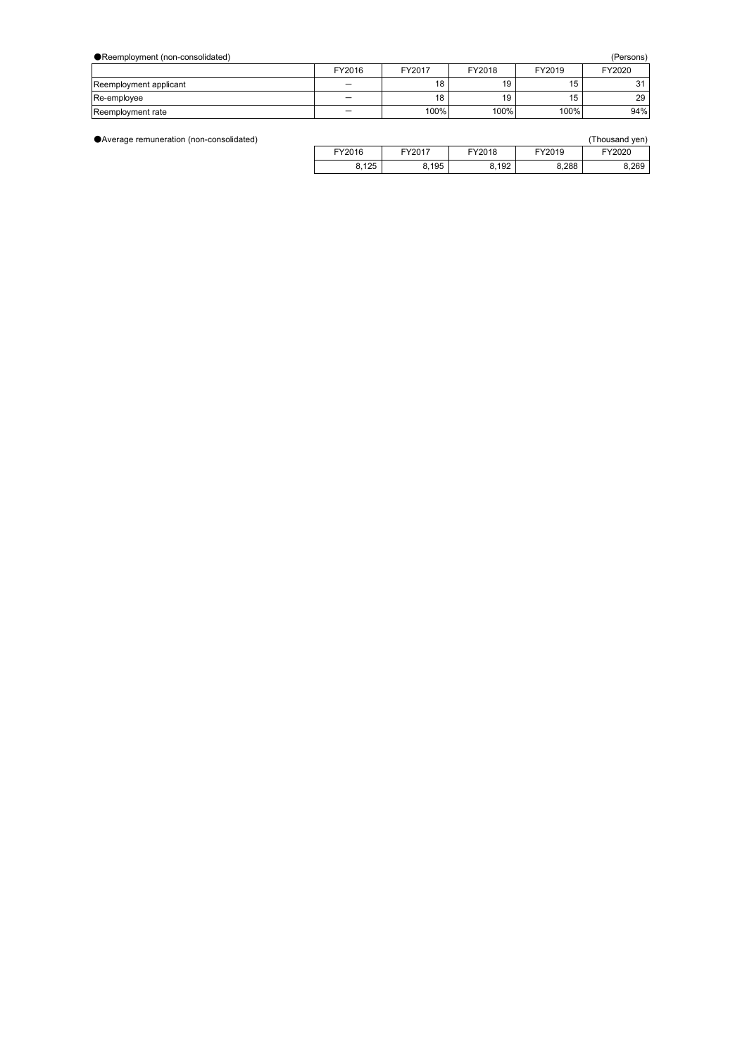| ● Reemployment (non-consolidated)<br>(Persons) |        |        |        |        |        |
|------------------------------------------------|--------|--------|--------|--------|--------|
|                                                | FY2016 | FY2017 | FY2018 | FY2019 | FY2020 |
| Reemployment applicant                         |        | 18     | 19     | 15     |        |
| Re-employee                                    |        | 18     | 19     | 15     | 29     |
| Reemployment rate                              |        | 100%   | 100%   | 100%   | 94%    |

●Average remuneration (non-consolidated)

|        |        |        |        | (Thousand yen) |
|--------|--------|--------|--------|----------------|
| FY2016 | FY2017 | FY2018 | FY2019 | FY2020         |
| 8,125  | 8,195  | 8,192  | 8,288  | 8,269          |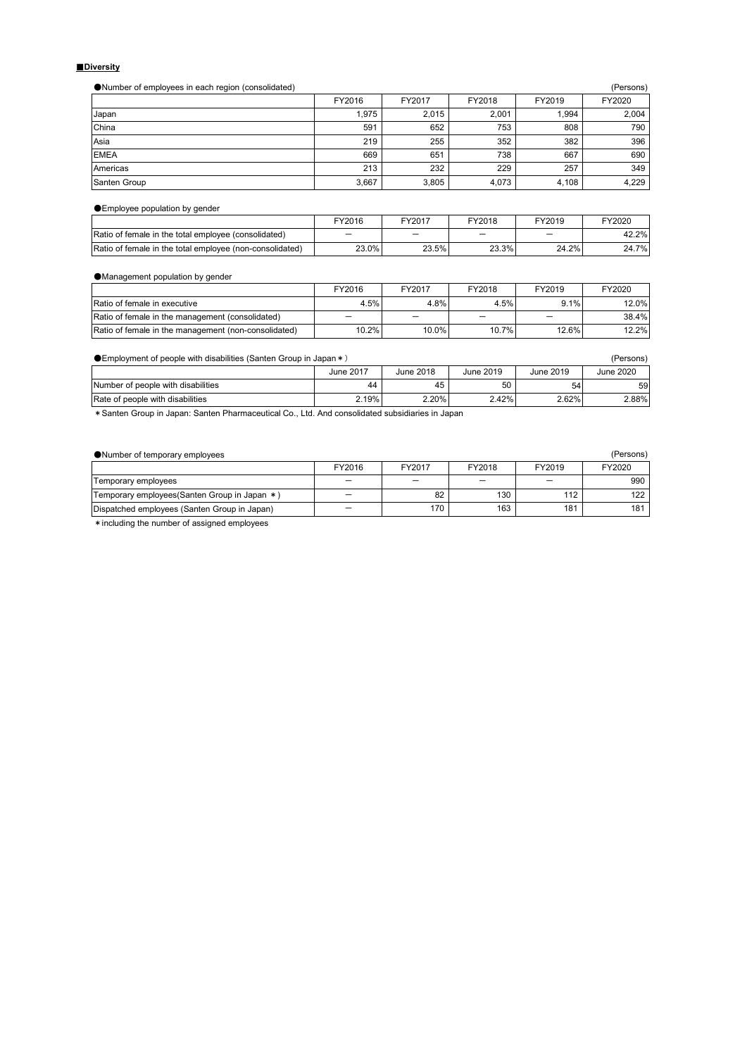## ■**Diversity**

●Number of employees in each region (consolidated) (Persons)

|              | FY2016 | FY2017 | FY2018 | FY2019 | FY2020 |
|--------------|--------|--------|--------|--------|--------|
| Japan        | 1.975  | 2.015  | 2.001  | 1.994  | 2,004  |
| China        | 591    | 652    | 753    | 808    | 790    |
| Asia         | 219    | 255    | 352    | 382    | 396    |
| <b>EMEA</b>  | 669    | 651    | 738    | 667    | 690    |
| Americas     | 213    | 232    | 229    | 257    | 349    |
| Santen Group | 3,667  | 3,805  | 4,073  | 4,108  | 4,229  |

●Employee population by gender

|                                                          | FY2016   | FY2017 | Y2018 | FY2019 | FY2020 |
|----------------------------------------------------------|----------|--------|-------|--------|--------|
| Ratio of female in the total employee (consolidated)     |          | _      | _     |        | 42.2%  |
| Ratio of female in the total emplovee (non-consolidated) | $23.0\%$ | 23.5%  | 23.3% | 24.2%  | 24.7%  |

●Management population by gender

|                                                      | FY2016 | FY2017 | FY2018 | FY2019 | FY2020 |
|------------------------------------------------------|--------|--------|--------|--------|--------|
| Ratio of female in executive                         | 4.5%   | 4.8%   | 4.5%   | 9.1%   | 12.0%  |
| Ratio of female in the management (consolidated)     | -      |        |        |        | 38.4%  |
| Ratio of female in the management (non-consolidated) | 10.2%  | 10.0%  | 10.7%  | 12.6%  | 12.2%  |

| $\bullet$ Employment of people with disabilities (Santen Group in Japan $\ast$ ) |           |           |           | (Persons) |           |
|----------------------------------------------------------------------------------|-----------|-----------|-----------|-----------|-----------|
|                                                                                  | June 2017 | June 2018 | June 2019 | June 2019 | June 2020 |
| Number of people with disabilities                                               | 44        | 45        | 50        | 54        | 59        |
| Rate of people with disabilities                                                 | 2.19%     | 2.20%     | $2.42\%$  | 2.62%     | 2.88%     |

\*Santen Group in Japan: Santen Pharmaceutical Co., Ltd. And consolidated subsidiaries in Japan

| (Persons)<br>• Number of temporary employees  |        |        |        |        |        |
|-----------------------------------------------|--------|--------|--------|--------|--------|
|                                               | FY2016 | FY2017 | FY2018 | FY2019 | FY2020 |
| Temporary employees                           | –      |        |        |        | 990    |
| Temporary employees (Santen Group in Japan *) | –      | 82     | 130    | 112    | 122    |
| Dispatched employees (Santen Group in Japan)  |        | 170    | 163    | 181    | 181    |
|                                               |        |        |        |        |        |

\*including the number of assigned employees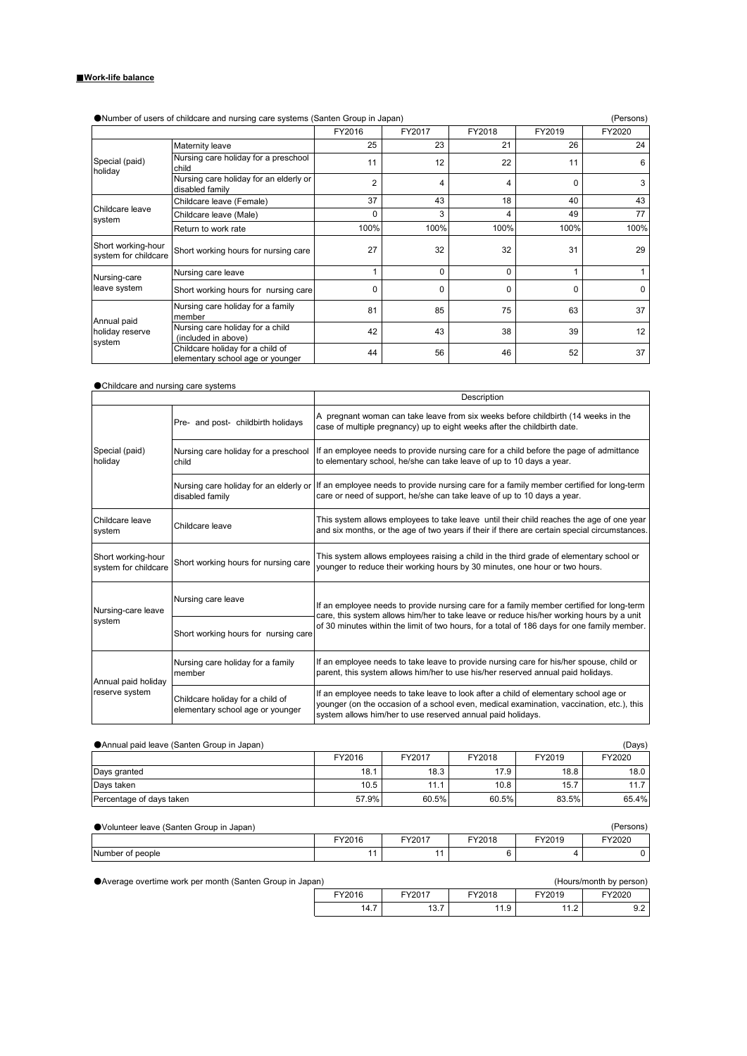## ■**Work-life balance**

| ●Number of users of childcare and nursing care systems (Santen Group in Japan) |                                                                      |                |          |          | (Persons) |          |
|--------------------------------------------------------------------------------|----------------------------------------------------------------------|----------------|----------|----------|-----------|----------|
|                                                                                |                                                                      | FY2016         | FY2017   | FY2018   | FY2019    | FY2020   |
|                                                                                | Maternity leave                                                      | 25             | 23       | 21       | 26        | 24       |
| Special (paid)<br>holiday                                                      | Nursing care holiday for a preschool<br>child                        | 11             | 12       | 22       | 11        | 6        |
|                                                                                | Nursing care holiday for an elderly or<br>disabled family            | $\overline{2}$ | 4        | 4        | 0         | 3        |
| Childcare leave<br>system                                                      | Childcare leave (Female)                                             | 37             | 43       | 18       | 40        | 43       |
|                                                                                | Childcare leave (Male)                                               | O              | 3        | 4        | 49        | 77       |
|                                                                                | Return to work rate                                                  | 100%           | 100%     | 100%     | 100%      | 100%     |
| Short working-hour<br>system for childcare                                     | Short working hours for nursing care                                 | 27             | 32       | 32       | 31        | 29       |
| Nursing-care                                                                   | Nursing care leave                                                   |                | $\Omega$ | $\Omega$ |           |          |
| leave system                                                                   | Short working hours for nursing care                                 | 0              | $\Omega$ | $\Omega$ | 0         | $\Omega$ |
| Annual paid                                                                    | Nursing care holiday for a family<br>member                          | 81             | 85       | 75       | 63        | 37       |
| holiday reserve<br>system                                                      | Nursing care holiday for a child<br>(included in above)              | 42             | 43       | 38       | 39        | 12       |
|                                                                                | Childcare holiday for a child of<br>elementary school age or younger | 44             | 56       | 46       | 52        | 37       |

## ●Childcare and nursing care systems

|                                            |                                                                      | Description                                                                                                                                                                                                                                     |
|--------------------------------------------|----------------------------------------------------------------------|-------------------------------------------------------------------------------------------------------------------------------------------------------------------------------------------------------------------------------------------------|
|                                            | Pre- and post- childbirth holidays                                   | A pregnant woman can take leave from six weeks before childbirth (14 weeks in the<br>case of multiple pregnancy) up to eight weeks after the childbirth date.                                                                                   |
| Special (paid)<br>holiday                  | Nursing care holiday for a preschool<br>child                        | If an employee needs to provide nursing care for a child before the page of admittance<br>to elementary school, he/she can take leave of up to 10 days a year.                                                                                  |
|                                            | Nursing care holiday for an elderly or<br>disabled family            | If an employee needs to provide nursing care for a family member certified for long-term<br>care or need of support, he/she can take leave of up to 10 days a year.                                                                             |
| Childcare leave<br>system                  | Childcare leave                                                      | This system allows employees to take leave until their child reaches the age of one year<br>and six months, or the age of two years if their if there are certain special circumstances.                                                        |
| Short working-hour<br>system for childcare | Short working hours for nursing care                                 | This system allows employees raising a child in the third grade of elementary school or<br>younger to reduce their working hours by 30 minutes, one hour or two hours.                                                                          |
| Nursing-care leave                         | Nursing care leave                                                   | If an employee needs to provide nursing care for a family member certified for long-term<br>care, this system allows him/her to take leave or reduce his/her working hours by a unit                                                            |
| system                                     | Short working hours for nursing care                                 | of 30 minutes within the limit of two hours, for a total of 186 days for one family member.                                                                                                                                                     |
| Annual paid holiday                        | Nursing care holiday for a family<br>member                          | If an employee needs to take leave to provide nursing care for his/her spouse, child or<br>parent, this system allows him/her to use his/her reserved annual paid holidays.                                                                     |
| reserve system                             | Childcare holiday for a child of<br>elementary school age or younger | If an employee needs to take leave to look after a child of elementary school age or<br>younger (on the occasion of a school even, medical examination, vaccination, etc.), this<br>system allows him/her to use reserved annual paid holidays. |

●Annual paid leave (Santen Group in Japan) (Days) (Carrier and the Santa Control of Days) (Days)

| <b>WATHING DUN IGUVG TOUTIGH OTOUD IN UGDUM</b> |        |        |        |        | $\omega$ |
|-------------------------------------------------|--------|--------|--------|--------|----------|
|                                                 | FY2016 | FY2017 | FY2018 | FY2019 | FY2020   |
| Days granted                                    | 18.1   | 18.3   | 17.9   | 18.8   | 18.0     |
| Days taken                                      | 10.5   | 11.1   | 10.8   | 15.7   |          |
| Percentage of days taken                        | 57.9%  | 60.5%  | 60.5%  | 83.5%  | 65.4%    |

| ● Volunteer leave (Santen Group in Japan)<br>(Persons) |        |        |        |        |        |
|--------------------------------------------------------|--------|--------|--------|--------|--------|
|                                                        | FY2016 | FY2017 | FY2018 | FY2019 | FY2020 |
| Number of people                                       |        |        |        |        |        |

| ● Average overtime work per month (Santen Group in Japan)<br>(Hours/month by person) |        |        |        |        |        |  |  |
|--------------------------------------------------------------------------------------|--------|--------|--------|--------|--------|--|--|
|                                                                                      | FY2016 | FY2017 | FY2018 | FY2019 | FY2020 |  |  |
|                                                                                      | 14.7   | 13.7   | 11.9   | 11 O   | 9.2    |  |  |